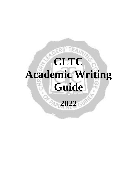# **CLTC Academic Writing Guide 2022**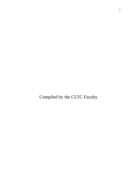Compiled by the CLTC Faculty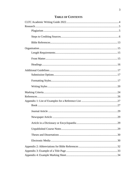# **TABLE OF CONTENTS**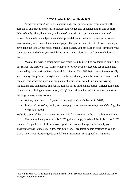#### **CLTC Academic Writing Guide 2022**

Academic writing has its own unique audience, purposes, and requirements. The purpose of an academic paper is to increase knowledge and understanding in one or more fields of study. Thus, the primary audience of an academic paper is the community of scholars in the relevant subject area. Other potential readers outside the academic context may not easily understand the academic papers that you write at CLTC . However, once you have done the scholarship represented by these papers, you can pass on your learning to your congregations and others you teach by adapting it into a form that will be more helpful to them.

Most of the written assignments you receive at CLTC will be academic in nature. For this reason, the faculty at CLTC have chosen to follow a widely accepted set of guidelines produced by the American Psychological Association. This *APA Style* is used internationally across many disciplines. The style described is intentionally plain, because the focus is on the content. This academic style also has plenty of white space for editing and for writing suggestions and comments. This CLTC guide is based on the most current official guidelines (American Psychological Association,  $2020$ )<sup>1</sup>. For additional useful information on writing theology papers, please consult

- *Writing and research: A guide for theological students*, by Smith (2016).
- *Your guide to writing quality research papers for students of religion and theology*, by Vyhmeister (2008).

Multiple copies of these two books are available for borrowing in the CLTC library system.

The faculty have produced this CLTC guide to help you adapt APA Style to the CLTC context. The guide itself follows its own guidelines, as much as possible, to help you understand what's expected. Follow this guide for all academic papers assigned to you at CLTC, unless your lecturer gives you different instructions for a specific assignment.

1

<sup>&</sup>lt;sup>1</sup> As of this year, CLTC is updating from the sixth to the seventh edition of these guidelines. Major changes are footnoted below.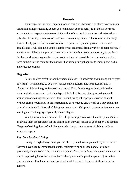#### **Research**

This chapter is the most important one in this guide because it explains how we as an institution of higher learning expect you to maintain your integrity as a scholar. For most assignments we expect you to research ideas that other people have already developed and published in books, journals or on websites. Researching the work that others have already done will help you to find creative solutions to problems by making connections more broadly, and it will also help you to examine your arguments from a variety of perspectives. It is most critical that you represent these authors accurately in your own writing, credit them for the contribution they made to your work, and make it possible for your readers to find these authors to read them for themselves. The same principal applies to images, and audio and video recordings.

#### **Plagiarism**

Failure to give credit for another person's ideas – in academic and in many other types of writing - is considered to be a very serious ethical failure. The term used for this is *plagiarism*. It is an integrity issue on two counts. First, failure to give due credit to the sources of ideas is considered to be a type of theft. In this case, other professionals will accuse you of *stealing* the person's ideas. Second, using other people's written content without giving credit leads to the temptation to use someone else's work as a lazy substitute or as a last-minute fix, instead of doing your own work. This practice compromises your own learning and the integrity of your diploma or degree.

What you want to do, instead of stealing, is simply to *borrow* the other person's ideas by giving them proper credit for the contribution they have made to your paper. The section "Steps to Crediting Sources" will help you with the practical aspects of giving credit in academic papers.

#### *Your Own Previous Writing*

Strange though it may seem, you are also expected to cite yourself if you use ideas that you have already introduced in another submitted or published paper. For direct quotations, cite yourself in the same way as you do for other authors. However, when you are simply expressing ideas that are similar to ideas presented in previous papers, just make a general statement to that effect and provide the citation and reference details as for other authors.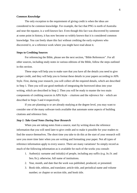#### *Common Knowledge*

The only exception to the requirement of giving credit is when the ideas are considered to be common knowledge. For example, the fact that PNG is north of Australia and near the equator, is a well-known fact. Even though this fact was discovered by someone at some point in history, it has now become so widely known that it is considered common knowledge. You can freely share this fact without crediting the early explorers who discovered it, or a reference work where you might have read about it.

#### **Steps to Crediting Sources**

For referencing the Bible, please see the next section, "Bible References". For all other sources, including study notes in various editions of the Bible, follow the steps outlined in this section.

These steps will help you to make sure that you have all the details you need to give proper credit, and they will help you to format these details in your papers according to APA Style. First, during your research, you will collect all the required details, which are described in Step 1. Then you will use good methods of integrating the borrowed ideas into your writing, which are described in Step 2. Then you will be ready to master the two main components of crediting sources in APA Style – *citations* and the *reference list* – which are described in Steps 3 and 4 respectively.

If you are planning to or are already studying at the degree level, you may want to consider one of the many software tools available that automate some aspects of building citations and reference lists.

#### *Step 1: Take Good Notes During Your Research*

When you are taking notes from a source, start by writing down the reference information that you will need later to give credit and to make it possible for your readers to find the source themselves. The short time you take to do this at the start of your research will save you more time later when you are writing and formatting your paper. Not all types of reference information apply to every source. There are many variations! So simply record as much of the following information as is available for each of the works you consult:

- 1. Author(s): surname and initial(s) of people, including any suffix (e.g. Jn./Jr. and Sen./Sr.); otherwise, full name of institutions.
- 2. Year, month, and date that the work was published, produced, or presented.
- 3. Book title, edition, and translator; article title, and periodical name and volume number; or chapter or section title, and book title.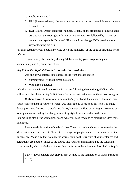- 4. Publisher's name.<sup>2</sup>
- 5. URL (internet address). From an internet browser, cut and paste it into a document to avoid errors.
- 6. DOI (Digital Object Identifier) number. Usually on the front page of downloaded articles near the copyright information. Begins with 10, followed by a string of numbers and symbols. Because URLs sometimes change, DOIs provide a safer way of locating articles.

For each section of your notes, also write down the number(s) of the page(s) that those notes refer to.

In your notes, also carefully distinguish between (a) your paraphrasing and summarizing, and (b) direct quotations.

#### *Step 2: Use the Right Method to Express the Borrowed Ideas*

Use one of two strategies to express ideas from another source:

- Summarising without direct quotation.
- With direct quotation.

In both cases, you will credit the source in the text following the citation guidelines which will be described later in Step 3. But first a few more instructions about these two strategies.

**Without Direct Quotation.** In this strategy, you absorb the author's ideas and then you re-express them in your own words. Use this strategy as much as possible. Too many direct quotations decrease a paper's readability, because the flow of writing is broken up by a lot of punctuation and by the changes in writing style from one author to the next. Summarising also helps you to understand what you have read and to discuss the ideas more intelligently.

Read the whole section of the book first. Then put it aside while you summarise the ideas that you are interested in. To avoid the danger of plagiarism, do not summarise sentence by sentence. Make sure that not only the words, but also the structure of your sentences and paragraphs, are not too similar to the source that you are summarising. See the following short example, which includes a citation that conforms to the guidelines described in Step 3:

Batley (2009) concurs that glory is best defined as the summation of God's attributes (p. 15).

1

<sup>&</sup>lt;sup>2</sup> Publisher location is no longer needed.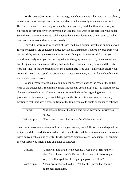With Direct Quotation. In this strategy, you choose a particular word, turn of phrase, sentence, or short passage that you really prefer to include exactly as the author wrote it. There are two main reasons to quote exactly. First, you may find that the author's way of expressing is very effective for conveying an idea that you want to get across in your paper. Second, you may want to make a claim about the author's ideas, and so you want to make sure that you represent the author accurately.

Individual words and very short phrases used in an original way by an author, as well as longer excerpts, are considered direct quotations. Distinguish a source's words from your own words by enclosing the source's words in double quotation marks. Make sure you reproduce exactly what you are quoting without changing any words. If you are concerned that the quotation contains something that looks like a mistake, then you can add the Latin word for 'thus' in square brackets after the questionable item: *[sic]*. This will reassure your readers that you have copied the original text exactly. However, use this device humbly and not to embarrass someone.

When necessary to fit a quotation into your sentence, change the case of the initial letter of the quoted text. To eliminate irrelevant content, use an ellipsis (*…*) to mark the place of what you have left out. However, do not use an ellipsis at the beginning or end of a quotation. If, for example, you are talking about the Resurrection and you have already mentioned that there was a stone in front of the tomb, you could quote an author as follows:

| Original:      | "The stone in front of the tomb was rolled away after Christ was |
|----------------|------------------------------------------------------------------|
|                | raised."                                                         |
| With ellipsis: | "The stone  was rolled away after Christ was raised."            |

If you omit one or more sentences from a longer passage, use a full stop to end the previous sentence and then mark the omitted text with an ellipsis. End the previous sentence anywhere that is convenient, as long as it still fits the passage grammatically. For example, depending on your focus, you might quote an author as follows:

| Original:      | "Christ was not afraid to die because it was part of His Father's   |
|----------------|---------------------------------------------------------------------|
|                | plan. Christ knew that His Father had ordained it in eternity past. |
|                | Yet, He still prayed that the cup might pass from Him."             |
| With ellipsis: | "Christ was not afraid to die Yet, He still prayed that the cup     |
|                | might pass from Him."                                               |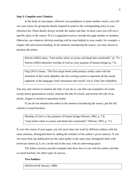#### *Step 3: Complete your Citations*

In the body of your paper, wherever you paraphrase or quote another source, you will *cite* your source by giving the details required to point to the corresponding entry in your reference list. These details always include the author and date. In most cases you will cite a specific place in the source. If it is a paginated sources, include the page number or numbers. Otherwise, use whatever division marking will be most helpful to your reader: for example, a chapter title and section heading. In the sentence introducing the source, you may choose to mention the author.

Warren (2002) states, "God smiles when we praise and thank him continually" (p. 73). Warren (2002) identifies worship of God as a key purpose of human beings (p. 73).

Ong (2015) claims, "The first major break with primary orality came with the invention of the Greek alphabet, the first writing system to represent all the sound segments of the language: both consonants and vowels" (ch 4, Only One Alphabet).

You may also choose to mention the title; if you do so, use title case (capitalise all words except minor grammatical words). Italicise the title of a book, and enclose the title of an article, chapter or section in quotation marks.

If you do not mention the author in the sentence introducing the source, put the full citation in round brackets:

Worship of God is a key purpose of human beings (Warren, 2002, p. 73). "God smiles when we praise and thank him continually" (Warren, 2002, p. 73).

If, over the course of your paper, you cite more than one work by different authors with the same surname, distinguish them by adding the initial(s) of the author's given name(s). If you cite more than one publication by the same author in the same year, distinguish them with lowercase letters (a, b, etc.) at the end of the year, with no intervening space.

The follow sections provide examples that show how to cite with the author and date in round brackets, for other types of sources.

#### **Two Authors.**

(McDowell & Stewart, 1980)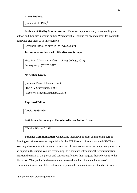## **Three Authors.**

(Carson et al.,  $1992$ )<sup>3</sup>

**Author as Cited by Another Author.** This case happens when you are reading one author, and they cite a second author. When possible, look up the second author for yourself; otherwise cite them as in this example.

Greenberg (1956; as cited in De Swaan, 2007)

#### **Institutional Authors, with Well-Known Acronym.**

First time: (Christian Leaders' Training College, 2017) Subsequently: (CLTC, 2017)

## **No Author Given.**

(Lutheran Book of Prayer, 1941)

(The NIV Study Bible, 1995)

(Webster's Student Dictionary, 2003)

## **Reprinted Edition.**

(David, 1968/1990)

#### **Article in a Dictionary or Encyclopedia, No Author Given.**

("Divine Warrior", 1998)

**Personal Communication**. Conducting interviews is often an important part of drawing on primary sources, especially for the BTh Research Project and the MTh Thesis. You may also want to cite an email or another informal conversation with a primary source or an expert in the subject you are researching. In a sentence introducing the communication, mention the name of the person and some identification that suggests their relevance to the discussion. Then, either in the sentence or in round brackets, indicate the mode of communication – email, letter, interview, or personal conversation – and the date it occurred.

1

<sup>&</sup>lt;sup>3</sup> Simplified from previous guidelines.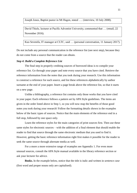Joseph Jones, Baptist pastor in Mt Hagen, stated …. (interview, 10 July 2008).

David Thiele, lecturer at Pacific Adventist University, commented that … (email, 22 November 2016).

Kuo Sevenifa, IT manager at CLTC, said … (personal conversation, 11 January 2017).

Do not include any personal communication in the reference list (see next step), because they do not come from a source that the reader can obtain.

#### *Step 4: Build a Complete Reference List*

The final step in properly crediting sources of borrowed ideas is to compile your reference list. Go through your paper and note every source that you have cited. Retrieve the reference information from the notes that you took during your research. Use this information to construct a reference for each source, and list these references alphabetically by author surname at the end of your paper. Insert a page break above the reference list, so that it starts on a new page.

Unlike a bibliography, a reference list contains only those works that you have cited in your paper. Each reference follows a pattern set by APA Style guidelines. The items are given in the order listed above in Step 1, so you will now reap the benefits of those good notes you took during your research! Follow the formatting details shown in the examples below of the basic types of sources. Notice that the main elements of the reference end in a full stop, followed by one space only.

Learn the reference styles for the main categories of print sources first. Then use these same styles for electronic sources – with the addition of a final element that should enable the reader to find that source through the same electronic medium that you used to find it. However, getting the basic reference information right first makes it possible for the reader to seek the same source through alternate media as well.

For a more a more extensive range of examples see Appendix 1. For even more unusual sources, consult the APA Style manual available in the library reference section or ask your lecturer for advice.

**Books.** In the example below, notice that the title is italic and written in *sentence case* (first word and proper nouns only are capitalised).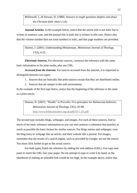McDowell, J., & Stewart, D. (1980). *Answers to tough questions skeptics ask about the Christian faith.* Here's Life.

**Journal Articles.** In the example below, notice that the article title is not italic but is written in sentence case, and the journal title is italic but is written in title case. Notice also that the volume number (but not issue number) is italic, and that page numbers are provided.

Daimoi, J. (2001). Understanding Melanesians. *Melanesian Journal of Theology, 17*(2), 6-22.

**Electronic Sources.** For electronic sources, construct the reference with the same basic information as for print media, plus any URL.

*Accessed from the Internet.* For sources accessed from the internet, it is important to distinguish between two types:

- 1. Sources that are basically like print sources except that they are distributed online.
- 2. Sources that are unique to the web environment.

In the example of the first type below, notice that the beginning of the reference is the same as a print article.

Hanson, D. (2007). "Wealth" in Proverbs: Five principles for Melanesian believers. *Melanesian Journal of Theology, 23*(1), 81-88. [http://www.biblicalstudies.org.uk/pdf/23-1\\_81.pdf](http://www.biblicalstudies.org.uk/pdf/23-1_81.pdf)

The second type includes blogs, webpages, and images. For each of these sources, find as much of the basic reference information as you can and construct a reference that matches as much as possible the basic format for similar sources. For blogs entries and webpages, treat the blog entry or webpage like an article, and their website like a journal. For images, remember that the results of a search engine, such as provided by Google, are not the source. You must click further to get to the actual source.

For both types, finish the reference by adding the web address (URL). Use copy-andpaste to insert the URL into your paper. Do not attempt to type or write it by hand, as the likelihood of making an unusable link would be too high. In the example above, notice that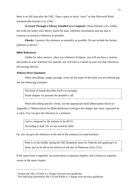there is no full stop after the URL. Type a space or press "enter" so that Microsoft Word automatically formats it as a link.<sup>4</sup>

*Accessed Through a Library Installed on a Computer.* These libraries vary widely, but work out where your library stores the basic reference information and use that to construct as normal a reference as possible.

*Ebooks.* Construct the reference as normally as possible. Do not include the format, platform or device.<sup>5</sup>

## **Bible References**

1

Unlike for other sources, when you reference Scripture, you will not have a citation that points to your reference list. Instead, you will have a citation in your text that references the passage directly.

#### *Without Direct Quotation*

When describing a larger passage, write out the name of the book you are referencing. See the following examples:

The book of Isaiah describes God's sovereignty. Isaiah chapter six presents the prophet's call.

When describing specific verses, use the appropriate book abbreviation shown in Appendix 2: Abbreviations for Bible References and give the chapter and verse, separated by a colon. You can give the reference in a sentence:

God is compared to the nations in Isa 40:15. According to Eph 2:8, we are saved by faith.

Or, you can give the reference at the end of the sentence in round brackets:

Peter is in fact boldly taking the Old Testament name for Yahweh and applying it to Jesus, just as he did in his sermon on the day of Pentecost (Acts 2:21).

If the same book is repeated, use semicolons to separate chapters, and commas to separate verses in the same chapter:

<sup>4</sup> Displaying URLs as links is a change from previous guidelines.

<sup>5</sup> Not indicating information like *CD* and *Kindle* is a change from previous guidelines.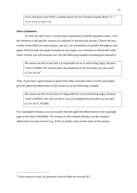Grace and peace were Paul's constant prayer for his Christian friends (Rom 1:5, 7; 1 Cor 1:3-4; 2 Cor. 1:2).

## *Direct Quotations*

As with any other source, enclose direct quotations in double quotation marks. Give the reference to the specific verses(s) as indicated in the previous section. Choose the best version of the Bible for your purpose, and use it as consistently as possible throughout your paper. The first time you quote Scripture in your paper, use a footnote to inform the reader which version you will normally use. See the following example (including the footnote!):

We cannot use the excuse that it is impossible for us to resist being angry, because "God is faithful. He will not allow the temptation to be more than you can stand"  $(1$  Cor 10:13).<sup>6</sup>

Then, if you have a good reason to quote from other version(s) later in in the same paper, give the approved abbreviation of the version as in the following example:

We cannot use the excuse that it is impossible for us to resist being angry, because "God is faithful, who will not allow you to be tempted beyond what you are able" (1 Cor 10:13, NASB).

For copyrighted versions, you can usually find the approved abbreviation on the copyright page at the front of the Bible. For versions in the common domain, use the common abbreviation for that version (e.g., KJV) or simply write out the name of the version.

1

<sup>6</sup> Unless otherwise noted, all quotations from the Bible are from the NLT.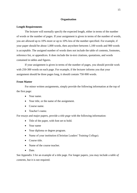#### **Organisation**

#### **Length Requirements**

The lecturer will normally specify the expected length, either in terms of the number of words or the number of pages. If your assignment is given in terms of the number of words, you are allowed up to 10% more or up to 10% less of the number specified. For example, if your paper should be about 1,000 words, then anywhere between 1,100 words and 900 words is acceptable. The assigned number of words does not include the table of contents, footnotes, reference list, or appendices. It does include the in-text citations, quotations, and words contained in tables and figures.

If your assignment is given in terms of the number of pages, you should provide work with 250-300 words on each page. For example, if the lecturer informs you that your assignment should be three pages long, it should contain 750-900 words.

## **Front Matter**

For minor written assignments, simply provide the following information at the top of the first page:

- Your name.
- Your title, or the name of the assignment.
- Course name.
- Teacher's name.

For essays and major papers, provide a *title page* with the following information:

- Title of the paper, with font set to bold.
- Your name
- Your diploma or degree program.
- Name of your institution (Christian Leaders' Training College).
- Course title.
- Name of the course teacher.
- Date.

See Appendix 3 for an example of a title page. For longer papers, you may include a *table of contents*, but it is not required.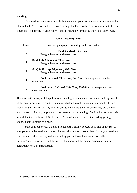# **Headings<sup>7</sup>**

Five heading levels are available, but keep your paper structure as simple as possible. Start at the highest level and work down through the levels only as far as you need to for the length and complexity of your paper. Table 1 shows the formatting specific to each level.

| Level          | Font and paragraph formatting, and punctuation                                              |
|----------------|---------------------------------------------------------------------------------------------|
|                | <b>Bold, Centred, Title Case</b><br>Paragraph starts on the next line.                      |
| $\overline{2}$ | <b>Bold, Left Alignment, Title Case</b><br>Paragraph starts on the next line.               |
| 3              | <b>Bold, Italic, Left Alignment, Title Case</b><br>Paragraph starts on the next line.       |
| 4              | <b>Bold, Indented, Title Case, Full Stop.</b> Paragraph starts on the<br>same line.         |
| 5              | <b>Bold, Italic, Indented, Title Case, Full Stop. Paragraph starts on</b><br>the same line. |

#### **Table 1. Heading Levels**

The phrase *title case*, which applies to all heading levels, means that you should begin each of the main words with a capital (uppercase) letter. Do not begin small grammatical words such as *a*, *the*, *and*, *at*, *by*, *for*, *in*, *is*, *on*, *or*, *to* with a capital letter unless they are the first word or are particularly important to the meaning of the heading. Begin all other words with a capital letter. For Levels 1-3, also set to *Keep with next* to prevent a heading getting stranded at the bottom of a page.

Start your paper with a Level 1 heading that simply repeats your title. In the rest of your paper use the headings to show the logical structure of your ideas. Make your headings concise, and make sure they outline your key points. Do not have a section called *Introduction*. It is assumed that the start of the paper and the major sections includes a paragraph or two of introduction.

1

<sup>7</sup> This section has many changes from previous guidelines.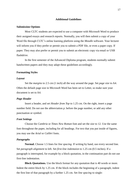#### **Additional Guidelines**

#### **Submission Options**

Most CLTC students are expected to use a computer with Microsoft Word to produce their assigned essays and research reports. Normally, you will then submit a copy of your Word file through CLTC's online learning platform using the *Moodle* software. Your lecturer will inform you if they prefer or permit you to submit a PDF file, or even a paper copy. If paper. They may also prefer or permit you to submit an electronic copy via email or USB flashdrive.

In the first semester of the Advanced Diploma program, students normally submit handwritten papers and they may adapt these guidelines accordingly.

#### **Formatting Styles**

#### *Layout*

Set the *margins* to 2.5 cm (1 inch) all the way around the page. Set *page size* to A4. Often the default page size in Microsoft Word has been set to Letter, so make sure your document is set to A4.

#### *Page Header*

Insert a header, and set *Header from Top* to 1.25 cm. On the right, insert a page number field. Do not use the abbreviation *p.* before the page number, or add any other punctuation or symbol.

## *Font Settings*

Choose the *Cambria* or *Times New Roman* font and set the *size* to 12. Use the same font throughout the paper, including for all headings. For text that you put inside of figures, you may use the *Arial* or *Calibri* fonts.

#### *Paragraphs*

**Normal.** Choose 1.5 lines for *line spacing*. If writing by hand, use every second line. Set *paragraph alignment* to left. Set *first-line indentaion* to 1.25 cm (0.5 inches). If a paragraph is interrupted, for example by a block quotation, in the continuation part do not use first-line indentation.

**Block Quotations.** Use the block format for any quotation that is 40 words or more. Indent the entire block by 1.25 cm. If the block includes the beginning of a paragraph, indent the first line of that paragraph by a further 1.25 cm. Set *line spacing* to single: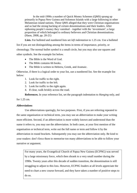In the mid-1990s a number of Quick Money Schemes (QMS) sprang up primarily in Papua New Guinea and Solomon Islands with a large following in other Melanesian island nations. These QMS alleged that they were Christian organisations and so had the strong backing of certain denominations and their leaders. After siphoning people's money they vanished – together with the 'investment'; a large proportion of which belonged to ordinary believers and Christian denominations. (Haon, 2008, pp. 20-21)

**Lists.** For bulleted and numbered lists set *left indentation* to 1.25 cm. Use a bulleted

list if you are not distinguishing among the items in terms of importance, priority, or chronology. The normal bullet symbol is a small circle, but you may also use squares and other symbols. See the example list below.

- The Bible is the Word of God.
- The Bible contains 66 books.
- The Bible is written in Hebrew, Greek, and Aramaic.

Otherwise, if there is a logical order to your list, use a numbered list. See the example list below:

- 1. Look for traffic to the right.
- 2. Look for traffic to the left.
- 3. Look for traffic to the right again.
- 4. If clear, walk briskly across the road.

**References.** In your reference list, set the paragraph indentation to *Hanging* only, and for 1.25 cm.

## *Abbreviations*

Use abbreviations sparingly, for two purposes. First, if you are referring repeated to the same organisation or technical term, you may use an abbreviation to make your writing more efficient. Second, if an abbreviation is more widely known and understood than the name it refers to, you may use the abbreviation. In both cases, at your first mention of the organisation or technical term, write out the full name or term and follow it by the abbreviation in round brackets. Subsequently you may use the abbreviation only. Be kind to your readers: don't force them to memorise too many abbreviations to be able to follow your narrative or argument.

For many years, the Evangelical Church of Papua New Guinea (ECPNG) was served by a large missionary force, which then shrank to a very small number during the 1990s. Twenty years after this decade of sudden transition, the denomination is still struggling to adjust to this loss. However, ECPNG leaders at all levels appreciate the need to chart a new course forward, and they have taken a number of positive steps to do so.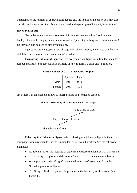Depending on the number of abbreviations needed and the length of the paper, you may also consider including a list of all abbreviations used in the paper (see Chapter 2, Front Matter).

## *Tables and Figures*

Use tables when you want to present information that lends itself well to a matrix display. Often tables display numerical information (percentages, frequencies, amounts, etc.), but they can also be used to display text alone.

Figures are drawings, paintings, photographs, charts, graphs, and maps. Use them to highlight, illustrate or expand on certain information.

**Formatting Tables and Figures.** Give every table and figure a caption that includes a number and a title. See Table 2 as an example of how to format a table and its caption.

|        | Diploma | Degree |
|--------|---------|--------|
| Male   | 80%     | 90%    |
| Female | 20%     | 10%    |

**Table 2. Gender of CLTC Students by Program**

See Figure 1 as an example of how to insert a figure and format its caption.

**Figure 1. Hierarchy of Issues at Stake in the Gospel**



**Referring to a Table or a Figure.** When referring to a table or a figure in the text of your paper, you may include it in the running text or use round brackets. See the following examples:

- As Table 2 shows, the majority of diploma and degree students at CLTC are male.
- The majority of diploma and degree students at CLTC are male (see Table 2).
- When placed in order of significance, the hierarchy of issues at stake in the Gospel appears as in Figure 1.
- The Glory of God is of premier importance in the hierarchy of the Gospel (see Figure 1).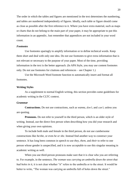The order in which the tables and figures are mentioned in the text determines the numbering, and tables are numbered independently of figures. Ideally, each table or figure should come as close as possible after the first reference to it. Where you have extra material, such as maps or charts that do not belong to the main part of your paper, it may be appropriate to put this information in an appendix. Just remember that appendices are not included in your word count.

#### *Footnotes*

Use footnotes sparingly to amplify information or to define technical words. Keep them short and deal with only one idea. Do not use footnotes to give extra information that is not relevant or necessary to the purpose of your paper. Most of the time, providing information in the text is the better approach. (In APA Style, you may use content footnotes only. Do not use footnotes for citations and references – see Chapter 1.)

Use the Microsoft Word footnote function to automatically insert and format all footnotes.

#### **Writing Styles**

As a supplement to normal English writing, this section provides some guidelines for academic writing in the CLTC context.

#### *Grammar*

**Contractions.** Do not use contractions, such as *wanna*, *don't*, and *can't*, unless you are quoting.

**Pronouns.** Do not refer to yourself in the third person, which is an older style of writing. Instead, use the direct first person when describing how you did your research and when giving your own opinions.

To include both male and female in the third person, do not use cumbersome constructions like *he/she*, or even *he or she*. Instead find another way to construct your sentence. It has long been common in speech to use *they*, *them*, and *their* to refer to one person whose gender is unspecified, and it is now acceptable to use this singular meaning in academic writing as well.

When you use third-person pronouns make sure that it is clear who you are referring to. For example, in the sentence, *The woman was carrying an umbrella down the street that had holes in it*, it is not clear whether "it" refers to the umbrella or to the street. It would be better to write, "The woman was carrying an umbrella full of holes down the street."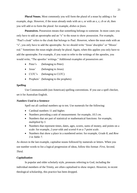**Plural Nouns.** Most commonly you will form the plural of a noun by adding *s*: for example, *dogs*. However, if the noun already ends with an *s*, or with an *x*, *z*, *ch* or *sh*, then you will add *es* to form the plural: for example, *dishes* or *foxes*.

**Possessives.** Possession means that something belongs to someone. In most cases you only have to add an apostrophe and an "s" to the noun to show possession. For example, "Paul's cloak" refers to the cloak that belongs to Paul. However, where the noun ends with an "s", you only have to add the apostrophe. So we should write "Jesus' disciples" or "Moses' rod." Sometimes the noun might already be plural. Again, when this applies you only have to add the apostrophe. For example, if you want to refer to the writings of the apostles, you would write, "The apostles' writings." Additional examples of possessives are:

- Peter's (belonging to Peter)
- Jesus' (belonging to Jesus)
- CLTC's (belonging to CLTC)
- Prophets' (belonging to the prophets)

#### *Spelling*

Use Commonwealth (not American) spelling conventions. If you use a spell checker, set it for Australian English.

#### *Numbers Used in a Sentence*

Spell out all cardinal numbers up to ten. Use numerals for the following:

- Cardinal numbers 11 and higher.
- Numbers preceding a unit of measurement: for example, *10.5 cm*.
- Numbers that are part of statistical or mathematical functions: for example, *multiplied by 5*
- Numbers that represent times, dates, ages, scores, sums of money, and points on a scale: for example, *2-year-olds* and *scored 4 on a 7-point scale*.
- Numbers that show a place in a numbered series: for example, *Grade 8*, and *Row 3 in Table 7*.

As shown in the last example, capitalise nouns followed by numerals or letters. When you use number words to list a logical progression of ideas, follow this format: *First*, *Second*, *Third*.

#### *Capitalisation*

In popular and older scholarly style, pronouns referring to God, including the individual members of the Trinity, are often capitalised to show respect. However, in recent theological scholarship, this practice has been dropped.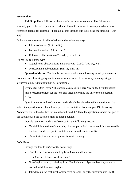## *Punctuation*

**Full Stop.** Use a full stop at the end of a declarative sentence. The full stop is normally placed before a quotation mark and footnote number. It is also placed after any reference details: for example, "I can do all this through him who gives me strength" (Eph 4:13).

Full stops are also used in abbreviations in the following ways:

- $\bullet$  Initials of names  $(I, R, S$ mith).
- Latin abbreviations (cf., i.e., vs.).
- Reference abbreviations (2nd ed., p. 6, Vol. 1).

Do not use full stops with

- Capital letter abbreviations and acronyms (CLTC, APA, IQ, NY).
- Measurement abbreviations (cm, kg, min, ml).

**Quotation Marks.** Use double quotation marks to enclose any words you are using from a source. Use single quotation marks where some of the words you are quoting are already in double quotation marks. For example:

Vyhmeister (2014) says: "The prejudices (meaning here 'pre-judged results') taken into a research project set the tone and often determine the answer to a question" (p. 3).

Question marks and exclamation marks should be placed outside quotation marks unless the question or exclamation is part of the quotation. For example: Did Jesus say, "Whoever would lose his life for my sake will find it"? Here the question asked is not part of the quotation, so the question mark is placed outside.

Double quotation marks are also used for the following reasons:

- To highlight the title of an article, chapter, periodical that where it is mentioned in the text. But do not put in quotation marks in the reference list.
- To indicate that a word or phrase is ironic or slang.

## *Italic Font*

Change the font to *italic* for the following:

• Transliterated words, including from Greek and Hebrew:

*Ish* is the Hebrew word for 'man'.

- Non-English words, including from Tok Pisin and *tokples* unless they are also normal in Melanesian English.
- Introduce a new, technical, or key term or label (only the first time it is used).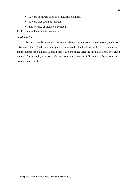- A word or phrase cited as a linguistic example.
- A word that could be misread.
- Letters used as statistical symbols.

Avoid using italics solely for emphasis.

## *Word Spacing*

Use one space between each word and after a comma, colon or semi-colon, and also between sentences<sup>8</sup>. Also use one space in numbered Bible book names between the number and the name: for example, 1 John. Finally, use one space after the initials of a person's given name(s); for example, B. B. Warfield. Do not use a space after full stops in abbreviations: for example, a.m. or Ph.D.

1

<sup>8</sup> Two spaces are no longer used to separate sentences.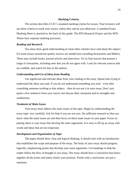#### **Marking Criteria**

The section describes CLTC's standard marking criteria for essays. Your lecturers will use these criteria to mark your essays, unless they advise you otherwise. A standard Essay Marking Sheet is attached to the back of this guide. The BTh Research Project and the MTh Thesis have separate marking processes.

#### *Reading and Research*

You must show good understanding of what other scholars have said about the subject. For most essays around ten quality sources are needed (not including dictionaries and Bibles). These may include books, journal articles and interviews. Try to find sources that present a range of viewpoints, including ones that you do not agree with. Look for relevant sources that are credible, and watch for bias in the authors.

## *Understanding and Use of Ideas from Reading*

Use significant and relevant ideas from your reading in the essay. Spend time trying to understand the ideas you read. If you do not understand something you read – even after consulting someone working in that subject – then do not use it in your essay. Don't just quote a few sentences from your surces, but discuss their viewpoint and its strengths and weaknesses.

#### *Treatment of Main Issues*

Your essay must address the main issues of the topic. Begin by understanding the essay topic very carefully. Ask for help if you are not sure. Do sufficient research so that you know what the main issues are and then focus on those main issues in your paper. Focus on putting ideas in your essay that develop the main arguments. It is easy to fill up an essay with words and ideas that are not important.

## *Development and Organisation of Topic*

The paper should show clear and logical thinking. It should start with an introduction that establishes the scope and purpose of the essay. The body of your essay should progress logically, emphasizing points that develop your main arguments. Use headings to help the reader follow the flow of thought in you essay. The essay should have a conclusion that draws together all the issues and states clearly your position. Finish with a conclusion, not just a summary.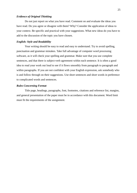## *Evidence of Original Thinking*

Do not just report on what you have read. Comment on and evaluate the ideas you have read. Do you agree or disagree with them? Why? Consider the application of ideas to your context. Be specific and practical with your suggestions. What new ideas do you have to add to the discussion of the topic you have chosen.

#### *English: Style and Readability*

Your writing should be easy to read and easy to understand. Try to avoid spelling, punctuation and grammar mistakes. Take full advantage of computer word processing software, as it will check your spelling and grammar. Make sure that you use complete sentences, and that there is subject-verb agreement within each sentence. It is often a good idea to read your work out loud to see if it flows smoothly from paragraph to paragraph and within paragraphs. If you are not confident with your English expression, ask somebody who is and follow through on their suggestions. Use short sentences and short words in preference to complicated words and sentences.

#### *Rules Concerning Format*

Title page, headings, paragraphs, font, footnotes, citations and reference list, margins, and general presentation of the paper must be in accordance with this document. Word limit must fit the requirements of the assignment.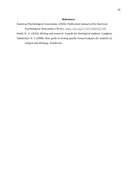## **References**

American Psychological Association. (2020). *Publication manual of the American Psychological Association* (7th ed.).<https://doi.org/10.1037/0000165-000>

Smith, K. G. (2016). *Writing and research: A guide for theological students.* Langham.

Vyhmeister, N. J. (2008). *Your guide to writing quality research papers for students of religion and theology.* Zondervan.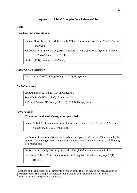## **Appendix 1: List of Examples for a Reference List**

#### **Book**

#### *One, Two, and Three Authors*

Carson, D. A., Moo, D. J., & Morris, L. (1992). *An introduction to the New Testament.*  Zondervan.

McDowell, J., & Stewart, D. (1980). *Answers to tough questions skeptics ask about the Christian faith.* Here's Life.

Stott, J. (1994). *Romans*. InterVarsity.

## *Author is Also Publisher*

Christian Leaders' Training College. (2017). *Prospectus.* 

#### *No Author Given*

*Lutheran Book of Prayer.* (1941). Concordia.

*The NIV Study Bible.* (1995). Zondervan.<sup>9</sup>

*Webster's Student Dictionary* (3rd ed.). (2003). Hungry Minds.

## *Part of a Book*

1

#### **Chapter or section of a book, editor provided.**

Sanon, A. (2002). Jesus, master of initiation. In R. Schrieter (Ed.), *Faces of Jesus in* 

*Africa* (pp. 85-102). Orbis Books.

As Quoted in Another Work. Include both as separate references.<sup>10</sup> For example, the citation "Greenberg (1956; as cited in De Swaan, 2007)" would point to the following two references:

De Swaan, A. (2007). *Words of the world: The global language system.* Polity. Greenberg, J. H. (1956), The measurement of linguistic diverity. *Language 32*(1), 109-115.

<sup>&</sup>lt;sup>9</sup> Citations of the Bible itself point directly to a version of the Bible, so they do not need an entry in the reference list. This example is a reference for a citation of the study notes in this Bible.

<sup>&</sup>lt;sup>10</sup> This is a change from previous guidelines.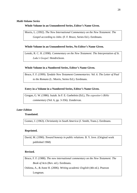## *Multi-Volume Series*

## **Whole Volume in an Unnumbered Series, Editor's Name Given.**

Morris, L. (1992). *The New International Commentary on the New Testament: The Gospel according to John.* (F. F. Bruce, Series Ed.). Eerdmans.

## **Whole Volume in an Unnumbered Series, No Editor's Name Given.**

Lenski, R. C. H. (1998). *Commentary on the New Testament: The Interpretation of St. Luke's Gospel.* Hendrickson.

## **Whole Volume in a Numbered Series, Editor's Name Given.**

Bruce, F. F. (1999). *Tyndale New Testament Commentaries: Vol. 6. The Letter of Paul to the Romans* (L. Morris, Series Ed.)*.* Eerdmans.

## **Entry in a Volume in a Numbered Series, Editor's Name Given.**

Grogan, G. W. (1986). Isaiah. In F. E. Gaebelein (Ed.), *The expositor's Bible commentary* (Vol. 6, pp. 3-356). Zondervan.

## *Later Edition*

## **Translated.**

Gomez, J. (1963). *Christianity in South America* (J. Smith, Trans.). Eerdmans.

## **Reprinted.**

David, M. (1990). *Toward honesty in public relations.* B. Y. Jove. (Original work published 1968)

## **Revised.**

Bruce, F. F. (1988). *The new international commentary on the New Testament: The Book of Acts* (Rev. ed.). Eerdmans.

Oshima, A., & Anne H. (2006). *Writing academic English* (4th ed.). Pearson Longman.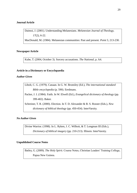## **Journal Article**

Daimoi, J. (2001). Understanding Melanesians. *Melanesian Journal of Theology, 17*(2), 6-22.

MacDonald, M. (1984). Melanesian communities: Past and present. *Point 5*, 213-230.

## **Newspaper Article**

Kube, T. (2004, October 3). Sorcery accusations. *The National*, p. A4.

## **Article in a Dictionary or Encyclopaedia**

## *Author Given*

Libolt, C. G. (1979). Canaan. In G. W. Bromiley (Ed.), *The international standard Bible encyclopedia* (p. 590). Eerdmans.

Packer, J. I. (1984). Faith. In W. Elwell (Ed.), *Evangelical dictionary of theology* (pp. 399-402). Baker.

Schreiner, T. R. (2000). Election. In T. D. Alexander & B. S. Rosner (Eds.), *New dictionary of biblical theology* (pp. 450-454). InterVarsity.

## *No Author Given*

Divine Warrior. (1998). In L. Ryken, J. C. Wilhoit, & T. Longman III (Eds.), *Dictionary of biblical imagery* (pp. 210-213). Illinois: InterVarsity.

## **Unpublished Course Notes**

Batley, G. (2009). *The Holy Spirit*. Course Notes, Christian Leaders' Training College, Papua New Guinea.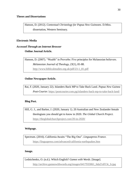Hanson, D. (2012). *Contextual Christology for Papua New Guineans*. D.Miss. dissertation, Western Seminary.

## **Electronic Media**

# *Accessed Through an Internet Browser* **Online Journal Article.**

Hanson, D. (2007). "Wealth" in Proverbs: Five principles for Melanesian believers. *Melanesian Journal of Theology, 23*(1), 81-88. [http://www.biblicalstudies.org.uk/pdf/23-1\\_81.pdf](http://www.biblicalstudies.org.uk/pdf/23-1_81.pdf)

## **Online Newspaper Article.**

Rai, F. (2020, January 22). Islanders Back MP to Take Back Land. *Papua New Guinea Post-Courier.* <https://postcourier.com.pg/islanders-back-mp-to-take-back-land/>

#### **Blog Post.**

Hill, G. J., and Barker, J. (2020, January 1). 20 Australian and New Zealander female theologians you should get to know in 2020. *The Global Church Project.* <https://theglobalchurchproject.com/20-in-2020/>

#### **Webpage.**

Spectrum. (2016). California Awaits "The Big One". *Linguapress France.* <https://linguapress.com/advanced/california-earthquakes.htm>

#### **Image.**

Lednichenko, O. (n.d.). Which English? *Games with Words.* [Image].

[http://archive.gameswithwords.org/images/6417933061\\_6da21df13c\\_b.jpg](http://archive.gameswithwords.org/images/6417933061_6da21df13c_b.jpg)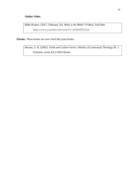# **Online Video.**

Bible Project. (2017, February 16). *What is the Bible?* [Video]. YouTube. <https://www.youtube.com/watch?v=ak06MSETeo4>

*Ebooks.* These books are now cited like print books.

Bevans, S. B. (2002). *Faith and Culture Series: Models of Contextual Theology* (R. J. Schreiter, series Ed.) Orbis Books.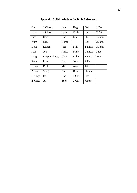| Gen     | 1 Chron         | Lam   | Hag   | Gal          | 1 Pet  |
|---------|-----------------|-------|-------|--------------|--------|
| Exod    | 2 Chron         | Ezek  | Zech  | Eph          | 2 Pet  |
| Lev     | Ezra            | Dan   | Mal   | Phil         | 1 John |
| Num     | Neh             | Hosea |       | Col          | 2 John |
| Deut    | Esther          | Joel  | Matt  | 1 Thess      | 3 John |
| Josh    | Job             | Amos  | Mark  | 2 Thess      | Jude   |
| Judg    | Ps (plural Pss) | Obad  | Luke  | 1 Tim        | Rev    |
| Ruth    | Prov            | Jon   | John  | 2 Tim        |        |
| 1 Sam   | Eccl            | Mic   | Acts  | <b>Titus</b> |        |
| 2 Sam   | Song            | Nah   | Rom   | Philem       |        |
| 1 Kings | Isa             | Hab   | 1 Cor | Heb          |        |
| 2 Kings | Jer             | Zeph  | 2 Cor | James        |        |

**Appendix 2: Abbreviations for Bible References**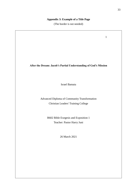## **Appendix 3: Example of a Title Page**

(The border is not needed)

1

## **After the Dream: Jacob's Partial Understanding of God's Mission**

Israel Bamata

Advanced Diploma of Community Transformation Christian Leaders' Training College

> B602 Bible Exegesis and Exposition 1 Teacher: Pastor Harry Juni

> > 26 March 2021